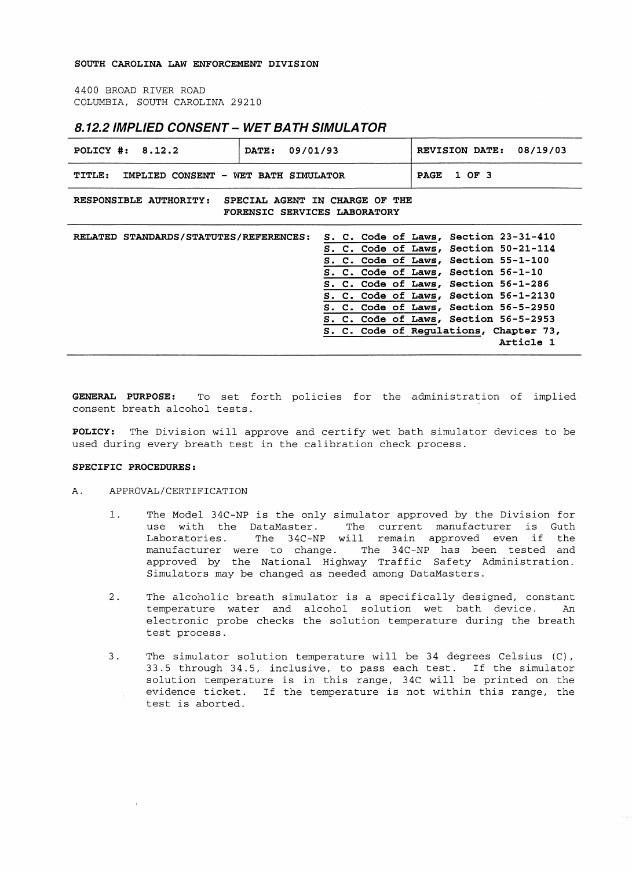4400 BROAD RIVER ROAD COLUMBIA, SOUTH CAROLINA 29210

# **8.12.2 IMPLIED CONSENT- WET BATH SIMULATOR**

| POLICY $\#: 8.12.2$                                                                      | 09/01/93<br>DATE: |  |  |             |                                                                                                                     | REVISION DATE: 08/19/03                                                         |  |
|------------------------------------------------------------------------------------------|-------------------|--|--|-------------|---------------------------------------------------------------------------------------------------------------------|---------------------------------------------------------------------------------|--|
| <b>TITLE:</b><br>IMPLIED CONSENT - WET BATH SIMULATOR                                    |                   |  |  | <b>PAGE</b> | 1 OF 3                                                                                                              |                                                                                 |  |
| RESPONSIBLE AUTHORITY:<br>SPECIAL AGENT IN CHARGE OF THE<br>FORENSIC SERVICES LABORATORY |                   |  |  |             |                                                                                                                     |                                                                                 |  |
| RELATED STANDARDS/STATUTES/REFERENCES: S. C. Code of Laws, Section 23-31-410             |                   |  |  |             |                                                                                                                     | S. C. Code of Laws, Section 50-21-114                                           |  |
|                                                                                          |                   |  |  |             | S. C. Code of Laws, Section 55-1-100<br>S. C. Code of Laws, Section 56-1-10<br>S. C. Code of Laws, Section 56-1-286 |                                                                                 |  |
|                                                                                          |                   |  |  |             |                                                                                                                     | S. C. Code of Laws, Section 56-1-2130<br>S. C. Code of Laws, Section 56-5-2950  |  |
|                                                                                          |                   |  |  |             |                                                                                                                     | S. C. Code of Laws, Section 56-5-2953<br>S. C. Code of Regulations, Chapter 73, |  |
|                                                                                          |                   |  |  |             |                                                                                                                     | Article 1                                                                       |  |

**GENERAL PURPOSE:** To set forth policies for the administration of implied consent breath alcohol tests.

**POLICY:** The Division will approve and certify wet bath simulator devices to be used during every breath test in the calibration check process.

#### **SPECIFIC PROCEDURES:**

### A. APPROVAL/CERTIFICATION

- 1. The Model 34C-NP is the only simulator approved by the Division for<br>use with the DataMaster. The current manufacturer is Guth The current manufacturer is Guth Laboratories. The 34C-NP will remain approved even if the manufacturer were to change. The 34C-NP has been tested and approved by the National Highway Traffic Safety Administration. Simulators may be changed as needed among DataMasters.
- 2. The alcoholic breath simulator is a specifically designed, constant temperature water and alcohol solution wet bath device. An electronic probe checks the solution temperature during the breath test process.
- 3. The simulator solution temperature will be 34 degrees Celsius (C), 33.5 through 34.5, inclusive, to pass each test. If the simulator solution temperature is in this range, 34C will be printed on the evidence ticket. If the temperature is not within this range, the test is aborted.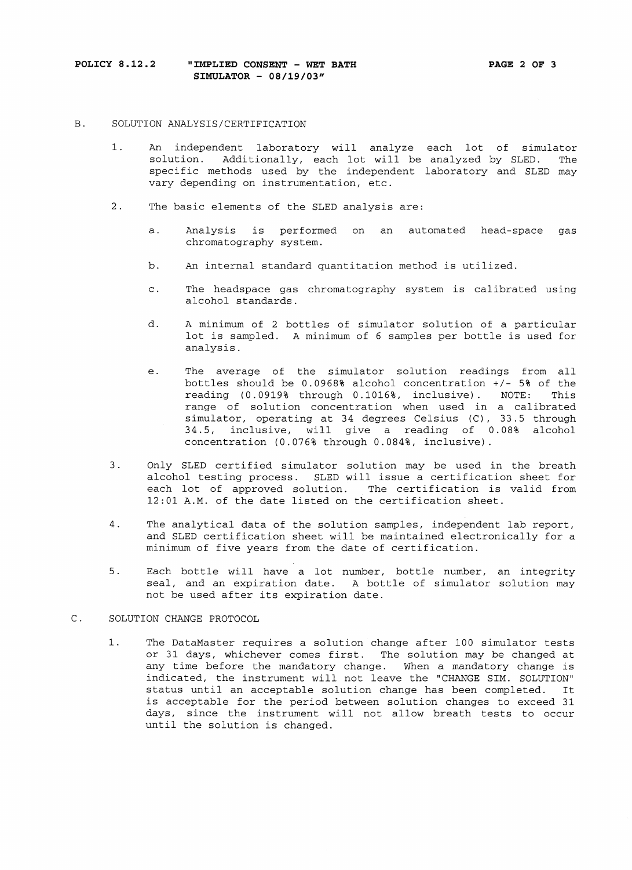### B. SOLUTION ANALYSIS/CERTIFICATION

- 1. An independent laboratory will analyze each lot of simulator solution. Additionally, each lot will be analyzed by SLED. The specific methods used by the independent laboratory and SLED may vary depending on instrumentation, etc.
- 2. The basic elements of the SLED analysis are:
	- a. Analysis is performed on an automated head-space gas chromatography system.
	- b. An internal standard quantitation method is utilized.
	- c. The headspace gas chromatography system is calibrated using alcohol standards.
	- d. A minimum of 2 bottles of simulator solution of a particular lot is sampled. A minimum of 6 samples per bottle is used for analysis.
	- e. The average of the simulator solution readings from all bottles should be 0.0968% alcohol concentration  $+/-$  5% of the reading (0.0919% through 0.1016%, inclusive). NOTE: This reading (0.0919% through 0.1016%, inclusive). NOTE: range of solution concentration when used in a calibrated simulator, operating at 34 degrees Celsius (C), 33.5 through 34.5, inclusive, will give a reading of 0.08% alcohol concentration (0.076% through 0.084%, inclusive)
- 3. Only SLED certified simulator solution may be used in the breath alcohol testing process. SLED will issue a certification sheet for each lot of approved solution. The certification is valid from 12:01 A.M. of the date listed on the certification sheet.
- 4. The analytical data of the solution samples, independent lab report, and SLED certification sheet will be maintained electronically for a minimum of five years from the date of certification.
- 5. Each bottle will have a lot number, bottle number, an integrity seal, and an expiration date. A bottle of simulator solution may not be used after its expiration date.

# C. SOLUTION CHANGE PROTOCOL

1. The DataMaster requires a solution change after 100 simulator tests or 31 days, whichever comes first. The solution may be changed at any time before the mandatory change. When a mandatory change is indicated, the instrument will not leave the "CHANGE SIM. SOLUTION" status until an acceptable solution change has been completed. It is acceptable for the period between solution changes to exceed 31 days, since the instrument will not allow breath tests to occur until the solution is changed.